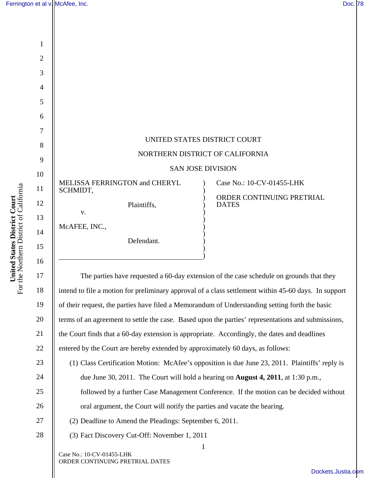|                                                                         |                | Ferrington et al v. McAfee, Inc.<br>Doc. 78                                                          |
|-------------------------------------------------------------------------|----------------|------------------------------------------------------------------------------------------------------|
|                                                                         |                |                                                                                                      |
| United States District Court<br>For the Northern District of California |                |                                                                                                      |
|                                                                         | 1              |                                                                                                      |
|                                                                         | $\overline{2}$ |                                                                                                      |
|                                                                         | 3              |                                                                                                      |
|                                                                         | $\overline{4}$ |                                                                                                      |
|                                                                         | 5              |                                                                                                      |
|                                                                         | 6              |                                                                                                      |
|                                                                         | $\tau$         | UNITED STATES DISTRICT COURT                                                                         |
|                                                                         | 8              | NORTHERN DISTRICT OF CALIFORNIA                                                                      |
|                                                                         | 9              | <b>SAN JOSE DIVISION</b>                                                                             |
|                                                                         | 10             | MELISSA FERRINGTON and CHERYL<br>Case No.: 10-CV-01455-LHK                                           |
|                                                                         | 11             | SCHMIDT,<br>ORDER CONTINUING PRETRIAL                                                                |
|                                                                         | 12             | Plaintiffs,<br><b>DATES</b><br>V.                                                                    |
|                                                                         | 13             | McAFEE, INC.,                                                                                        |
|                                                                         | 14             | Defendant.                                                                                           |
|                                                                         | 15             |                                                                                                      |
|                                                                         | 16             |                                                                                                      |
|                                                                         | $17\,$         | The parties have requested a 60-day extension of the case schedule on grounds that they              |
|                                                                         | 18             | intend to file a motion for preliminary approval of a class settlement within 45-60 days. In support |
|                                                                         | 19             | of their request, the parties have filed a Memorandum of Understanding setting forth the basic       |
|                                                                         | 20             | terms of an agreement to settle the case. Based upon the parties' representations and submissions,   |
|                                                                         | 21             | the Court finds that a 60-day extension is appropriate. Accordingly, the dates and deadlines         |
|                                                                         | 22             | entered by the Court are hereby extended by approximately 60 days, as follows:                       |
|                                                                         | 23             | (1) Class Certification Motion: McAfee's opposition is due June 23, 2011. Plaintiffs' reply is       |
|                                                                         | 24             | due June 30, 2011. The Court will hold a hearing on <b>August 4, 2011</b> , at 1:30 p.m.,            |
|                                                                         | 25             | followed by a further Case Management Conference. If the motion can be decided without               |
|                                                                         | 26             | oral argument, the Court will notify the parties and vacate the hearing.                             |
|                                                                         | $27\,$         | (2) Deadline to Amend the Pleadings: September 6, 2011.                                              |

(2) Deadline to Amend the Pleadings: September 6, 2011.

1

(3) Fact Discovery Cut-Off: November 1, 2011

Case No.: 10-CV-01455-LHK ORDER CONTINUING PRETRIAL DATES

28